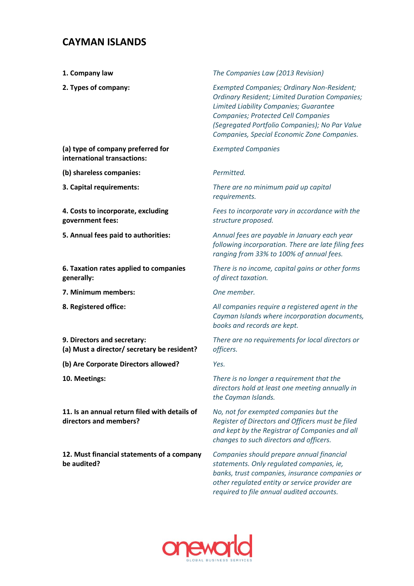## **CAYMAN ISLANDS**

- 
- 

**1. Company law** *The Companies Law (2013 Revision)*

**2. Types of company:** *Exempted Companies; Ordinary Non-Resident; Ordinary Resident; Limited Duration Companies; Limited Liability Companies; Guarantee Companies; Protected Cell Companies (Segregated Portfolio Companies); No Par Value Companies, Special Economic Zone Companies.*

**(a) type of company preferred for international transactions:** *Exempted Companies* 

**(b) shareless companies:** *Permitted.* 

**4. Costs to incorporate, excluding government fees:** 

**6. Taxation rates applied to companies generally:**

**7. Minimum members:** *One member.*

**9. Directors and secretary: (a) Must a director/ secretary be resident?** 

**(b) Are Corporate Directors allowed?** *Yes.*

**11. Is an annual return filed with details of directors and members?** 

**12. Must financial statements of a company be audited?** 

**3. Capital requirements:** *There are no minimum paid up capital requirements.*

> *Fees to incorporate vary in accordance with the structure proposed.*

**5. Annual fees paid to authorities:** *Annual fees are payable in January each year following incorporation. There are late filing fees ranging from 33% to 100% of annual fees.*

> *There is no income, capital gains or other forms of direct taxation.*

**8. Registered office:** *All companies require a registered agent in the Cayman Islands where incorporation documents, books and records are kept.* 

> *There are no requirements for local directors or officers.*

**10. Meetings:** *There is no longer a requirement that the directors hold at least one meeting annually in the Cayman Islands.* 

> *No, not for exempted companies but the Register of Directors and Officers must be filed and kept by the Registrar of Companies and all changes to such directors and officers.*

*Companies should prepare annual financial statements. Only regulated companies, ie, banks, trust companies, insurance companies or other regulated entity or service provider are required to file annual audited accounts.*